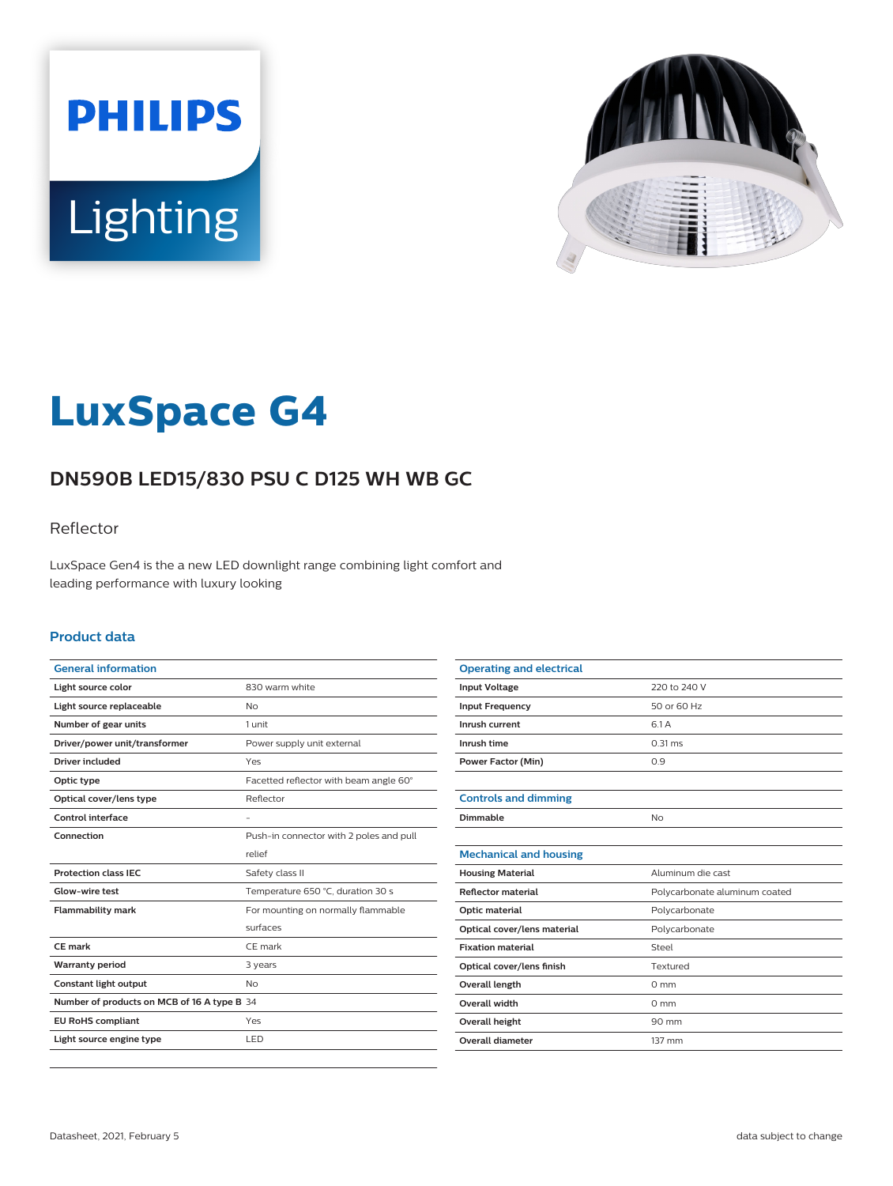



# **LuxSpace G4**

# **DN590B LED15/830 PSU C D125 WH WB GC**

### Reflector

LuxSpace Gen4 is the a new LED downlight range combining light comfort and leading performance with luxury looking

#### **Product data**

| <b>General information</b>                  |                                         |
|---------------------------------------------|-----------------------------------------|
| Light source color                          | 830 warm white                          |
| Light source replaceable                    | No                                      |
| Number of gear units                        | 1 unit                                  |
| Driver/power unit/transformer               | Power supply unit external              |
| Driver included                             | Yes                                     |
| Optic type                                  | Facetted reflector with beam angle 60°  |
| Optical cover/lens type                     | Reflector                               |
| Control interface                           |                                         |
| Connection                                  | Push-in connector with 2 poles and pull |
|                                             | relief                                  |
| <b>Protection class IEC</b>                 | Safety class II                         |
| Glow-wire test                              | Temperature 650 °C, duration 30 s       |
| <b>Flammability mark</b>                    | For mounting on normally flammable      |
|                                             | surfaces                                |
| <b>CE</b> mark                              | CE mark                                 |
| <b>Warranty period</b>                      | 3 years                                 |
| Constant light output                       | N <sub>o</sub>                          |
| Number of products on MCB of 16 A type B 34 |                                         |
| <b>EU RoHS compliant</b>                    | Yes                                     |
| Light source engine type                    | LED                                     |
|                                             |                                         |

| <b>Operating and electrical</b> |                               |
|---------------------------------|-------------------------------|
| <b>Input Voltage</b>            | 220 to 240 V                  |
| <b>Input Frequency</b>          | 50 or 60 Hz                   |
| Inrush current                  | 6.1 A                         |
| Inrush time                     | $0.31$ ms                     |
| <b>Power Factor (Min)</b>       | 0.9                           |
|                                 |                               |
| <b>Controls and dimming</b>     |                               |
| Dimmable                        | No                            |
|                                 |                               |
| <b>Mechanical and housing</b>   |                               |
| <b>Housing Material</b>         | Aluminum die cast             |
| <b>Reflector material</b>       | Polycarbonate aluminum coated |
| Optic material                  | Polycarbonate                 |
| Optical cover/lens material     | Polycarbonate                 |
| <b>Fixation material</b>        | Steel                         |
| Optical cover/lens finish       | Textured                      |
| <b>Overall length</b>           | $0 \text{ mm}$                |
| <b>Overall width</b>            | $0 \text{ mm}$                |
| <b>Overall height</b>           | 90 mm                         |
| Overall diameter                | 137 mm                        |
|                                 |                               |